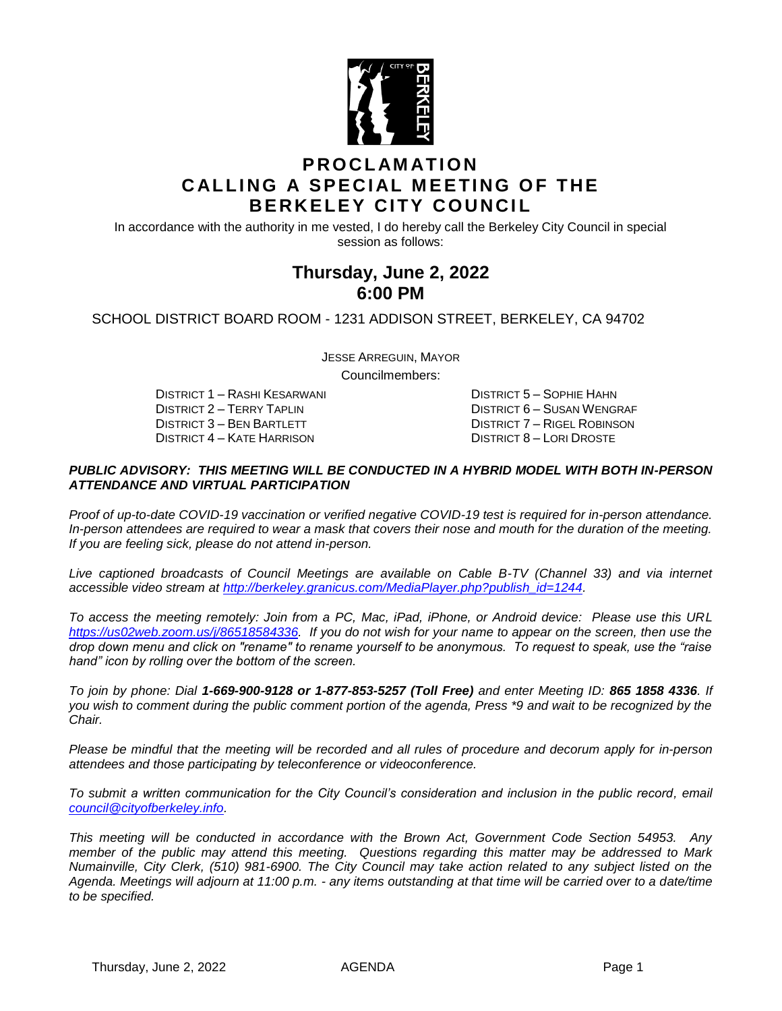

### **P R O C L AM AT I O N CALLING A SPECIAL MEETING OF THE BERKELEY CITY COUNCIL**

In accordance with the authority in me vested, I do hereby call the Berkeley City Council in special session as follows:

# **Thursday, June 2, 2022 6:00 PM**

SCHOOL DISTRICT BOARD ROOM - 1231 ADDISON STREET, BERKELEY, CA 94702

JESSE ARREGUIN, MAYOR Councilmembers:

DISTRICT 1 – RASHI KESARWANI DISTRICT 5 – SOPHIE HAHN DISTRICT 4 – KATE HARRISON DISTRICT 8 – LORI DROSTE

DISTRICT 2 – TERRY TAPLIN DISTRICT 6 – SUSAN WENGRAF<br>DISTRICT 3 – BEN BARTLETT DISTRICT 7 – RIGEL ROBINSON DISTRICT 7 – RIGEL ROBINSON

#### *PUBLIC ADVISORY: THIS MEETING WILL BE CONDUCTED IN A HYBRID MODEL WITH BOTH IN-PERSON ATTENDANCE AND VIRTUAL PARTICIPATION*

*Proof of up-to-date COVID-19 vaccination or verified negative COVID-19 test is required for in-person attendance. In-person attendees are required to wear a mask that covers their nose and mouth for the duration of the meeting. If you are feeling sick, please do not attend in-person.*

*Live captioned broadcasts of Council Meetings are available on Cable B-TV (Channel 33) and via internet accessible video stream at [http://berkeley.granicus.com/MediaPlayer.php?publish\\_id=1244.](http://berkeley.granicus.com/MediaPlayer.php?publish_id=1244)*

*To access the meeting remotely: Join from a PC, Mac, iPad, iPhone, or Android device: Please use this URL [https://us02web.zoom.us/j/86518584336.](https://us02web.zoom.us/j/86518584336) If you do not wish for your name to appear on the screen, then use the drop down menu and click on "rename" to rename yourself to be anonymous. To request to speak, use the "raise hand" icon by rolling over the bottom of the screen.* 

*To join by phone: Dial 1-669-900-9128 or 1-877-853-5257 (Toll Free) and enter Meeting ID: 865 1858 4336. If you wish to comment during the public comment portion of the agenda, Press \*9 and wait to be recognized by the Chair.* 

*Please be mindful that the meeting will be recorded and all rules of procedure and decorum apply for in-person attendees and those participating by teleconference or videoconference.*

*To submit a written communication for the City Council's consideration and inclusion in the public record, email [council@cityofberkeley.info.](mailto:council@cityofberkeley.info)*

*This meeting will be conducted in accordance with the Brown Act, Government Code Section 54953. Any member of the public may attend this meeting. Questions regarding this matter may be addressed to Mark Numainville, City Clerk, (510) 981-6900. The City Council may take action related to any subject listed on the Agenda. Meetings will adjourn at 11:00 p.m. - any items outstanding at that time will be carried over to a date/time to be specified.*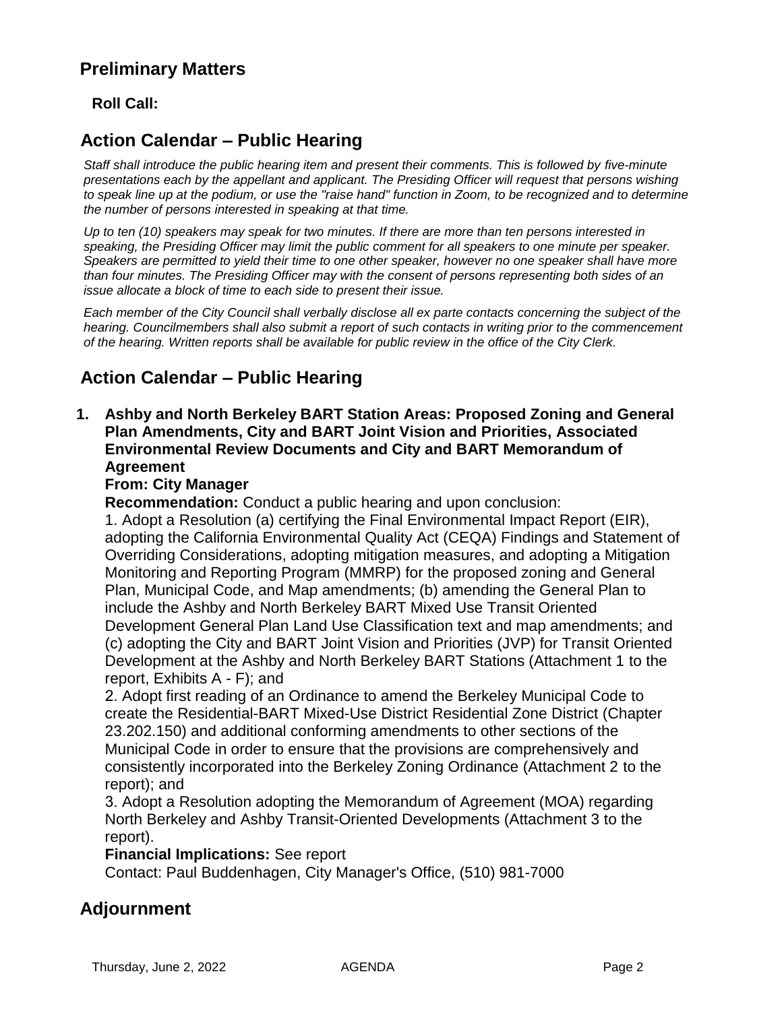# **Preliminary Matters**

### **Roll Call:**

# **Action Calendar – Public Hearing**

*Staff shall introduce the public hearing item and present their comments. This is followed by five-minute presentations each by the appellant and applicant. The Presiding Officer will request that persons wishing to speak line up at the podium, or use the "raise hand" function in Zoom, to be recognized and to determine the number of persons interested in speaking at that time.*

*Up to ten (10) speakers may speak for two minutes. If there are more than ten persons interested in speaking, the Presiding Officer may limit the public comment for all speakers to one minute per speaker. Speakers are permitted to yield their time to one other speaker, however no one speaker shall have more than four minutes. The Presiding Officer may with the consent of persons representing both sides of an issue allocate a block of time to each side to present their issue.*

*Each member of the City Council shall verbally disclose all ex parte contacts concerning the subject of the hearing. Councilmembers shall also submit a report of such contacts in writing prior to the commencement of the hearing. Written reports shall be available for public review in the office of the City Clerk.*

# **Action Calendar – Public Hearing**

#### **1. Ashby and North Berkeley BART Station Areas: Proposed Zoning and General Plan Amendments, City and BART Joint Vision and Priorities, Associated Environmental Review Documents and City and BART Memorandum of Agreement**

### **From: City Manager**

**Recommendation:** Conduct a public hearing and upon conclusion:

1. Adopt a Resolution (a) certifying the Final Environmental Impact Report (EIR), adopting the California Environmental Quality Act (CEQA) Findings and Statement of Overriding Considerations, adopting mitigation measures, and adopting a Mitigation Monitoring and Reporting Program (MMRP) for the proposed zoning and General Plan, Municipal Code, and Map amendments; (b) amending the General Plan to include the Ashby and North Berkeley BART Mixed Use Transit Oriented Development General Plan Land Use Classification text and map amendments; and (c) adopting the City and BART Joint Vision and Priorities (JVP) for Transit Oriented Development at the Ashby and North Berkeley BART Stations (Attachment 1 to the report, Exhibits A - F); and

2. Adopt first reading of an Ordinance to amend the Berkeley Municipal Code to create the Residential-BART Mixed-Use District Residential Zone District (Chapter 23.202.150) and additional conforming amendments to other sections of the Municipal Code in order to ensure that the provisions are comprehensively and consistently incorporated into the Berkeley Zoning Ordinance (Attachment 2 to the report); and

3. Adopt a Resolution adopting the Memorandum of Agreement (MOA) regarding North Berkeley and Ashby Transit-Oriented Developments (Attachment 3 to the report).

**Financial Implications:** See report

Contact: Paul Buddenhagen, City Manager's Office, (510) 981-7000

## **Adjournment**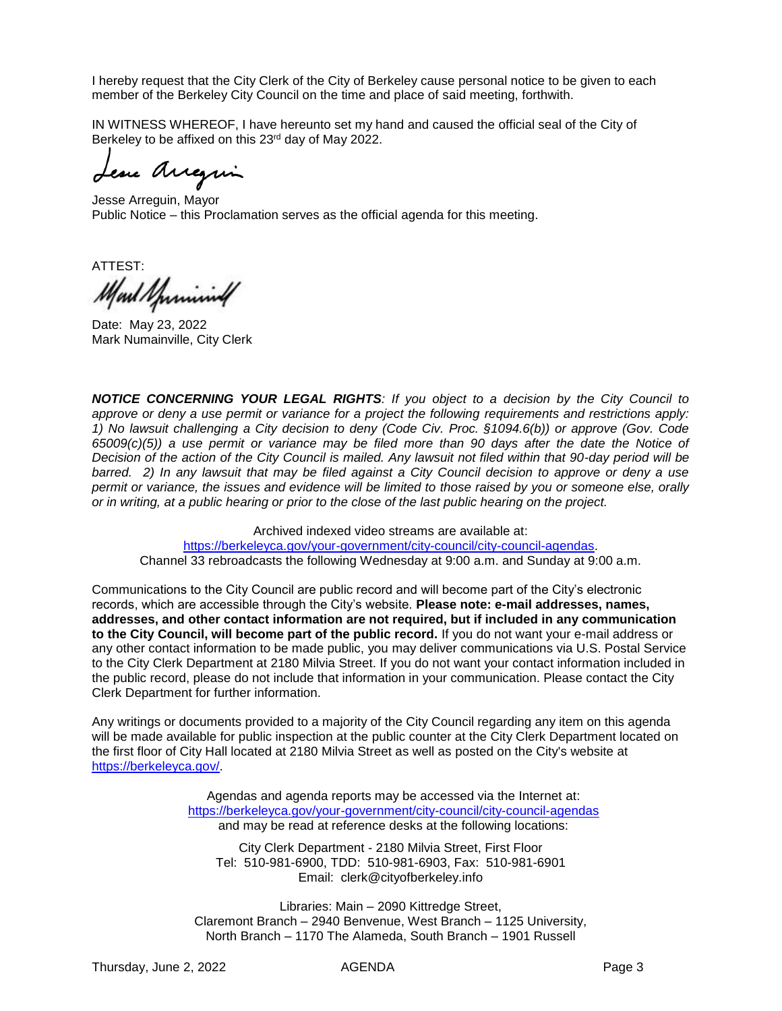I hereby request that the City Clerk of the City of Berkeley cause personal notice to be given to each member of the Berkeley City Council on the time and place of said meeting, forthwith.

IN WITNESS WHEREOF, I have hereunto set my hand and caused the official seal of the City of Berkeley to be affixed on this 23<sup>rd</sup> day of May 2022.

eux Arreguin

Jesse Arreguin, Mayor Public Notice – this Proclamation serves as the official agenda for this meeting.

ATTEST: Mart Sprining

Date: May 23, 2022 Mark Numainville, City Clerk

*NOTICE CONCERNING YOUR LEGAL RIGHTS: If you object to a decision by the City Council to approve or deny a use permit or variance for a project the following requirements and restrictions apply: 1) No lawsuit challenging a City decision to deny (Code Civ. Proc. §1094.6(b)) or approve (Gov. Code 65009(c)(5)) a use permit or variance may be filed more than 90 days after the date the Notice of Decision of the action of the City Council is mailed. Any lawsuit not filed within that 90-day period will be barred. 2) In any lawsuit that may be filed against a City Council decision to approve or deny a use permit or variance, the issues and evidence will be limited to those raised by you or someone else, orally or in writing, at a public hearing or prior to the close of the last public hearing on the project.*

Archived indexed video streams are available at:

[https://berkeleyca.gov/your-government/city-council/city-council-agendas.](https://berkeleyca.gov/your-government/city-council/city-council-agendas) Channel 33 rebroadcasts the following Wednesday at 9:00 a.m. and Sunday at 9:00 a.m.

Communications to the City Council are public record and will become part of the City's electronic records, which are accessible through the City's website. **Please note: e-mail addresses, names, addresses, and other contact information are not required, but if included in any communication to the City Council, will become part of the public record.** If you do not want your e-mail address or any other contact information to be made public, you may deliver communications via U.S. Postal Service to the City Clerk Department at 2180 Milvia Street. If you do not want your contact information included in the public record, please do not include that information in your communication. Please contact the City Clerk Department for further information.

Any writings or documents provided to a majority of the City Council regarding any item on this agenda will be made available for public inspection at the public counter at the City Clerk Department located on the first floor of City Hall located at 2180 Milvia Street as well as posted on the City's website at [https://berkeleyca.gov/.](https://berkeleyca.gov/)

> Agendas and agenda reports may be accessed via the Internet at: <https://berkeleyca.gov/your-government/city-council/city-council-agendas> and may be read at reference desks at the following locations:

City Clerk Department - 2180 Milvia Street, First Floor Tel: 510-981-6900, TDD: 510-981-6903, Fax: 510-981-6901 Email: clerk@cityofberkeley.info

Libraries: Main – 2090 Kittredge Street, Claremont Branch – 2940 Benvenue, West Branch – 1125 University, North Branch – 1170 The Alameda, South Branch – 1901 Russell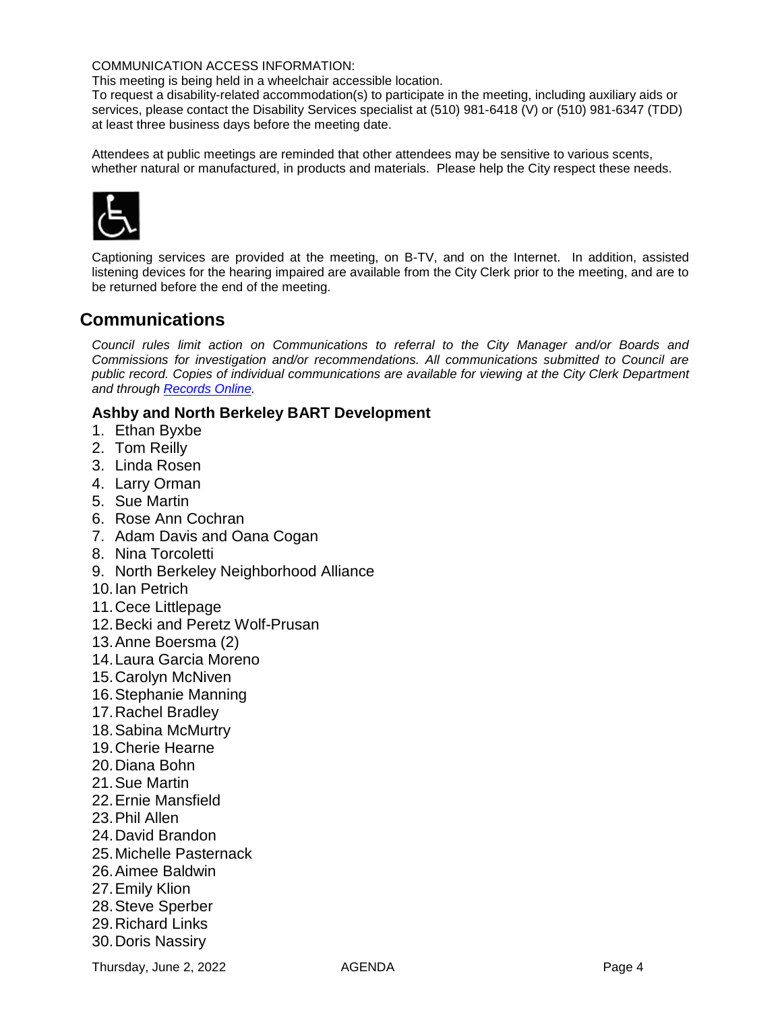#### COMMUNICATION ACCESS INFORMATION:

This meeting is being held in a wheelchair accessible location.

To request a disability-related accommodation(s) to participate in the meeting, including auxiliary aids or services, please contact the Disability Services specialist at (510) 981-6418 (V) or (510) 981-6347 (TDD) at least three business days before the meeting date.

Attendees at public meetings are reminded that other attendees may be sensitive to various scents, whether natural or manufactured, in products and materials. Please help the City respect these needs.



Captioning services are provided at the meeting, on B-TV, and on the Internet. In addition, assisted listening devices for the hearing impaired are available from the City Clerk prior to the meeting, and are to be returned before the end of the meeting.

### **Communications**

*Council rules limit action on Communications to referral to the City Manager and/or Boards and Commissions for investigation and/or recommendations. All communications submitted to Council are public record. Copies of individual communications are available for viewing at the City Clerk Department and through [Records Online.](https://records.cityofberkeley.info/)*

### **Ashby and North Berkeley BART Development**

- 1. Ethan Byxbe
- 2. Tom Reilly
- 3. Linda Rosen
- 4. Larry Orman
- 5. Sue Martin
- 6. Rose Ann Cochran
- 7. Adam Davis and Oana Cogan
- 8. Nina Torcoletti
- 9. North Berkeley Neighborhood Alliance
- 10.Ian Petrich
- 11.Cece Littlepage
- 12.Becki and Peretz Wolf-Prusan
- 13.Anne Boersma (2)
- 14.Laura Garcia Moreno
- 15.Carolyn McNiven
- 16.Stephanie Manning
- 17.Rachel Bradley
- 18.Sabina McMurtry
- 19.Cherie Hearne
- 20.Diana Bohn
- 21.Sue Martin
- 22.Ernie Mansfield
- 23.Phil Allen
- 24.David Brandon
- 25.Michelle Pasternack
- 26.Aimee Baldwin
- 27.Emily Klion
- 28.Steve Sperber
- 29.Richard Links
- 30.Doris Nassiry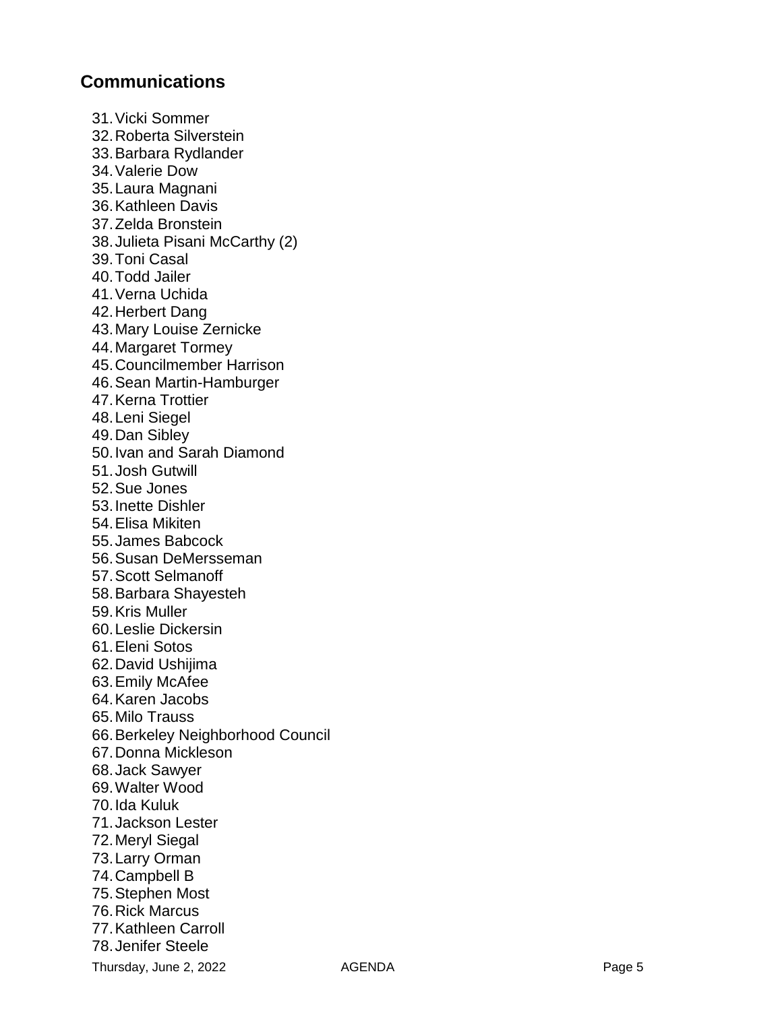### **Communications**

31.Vicki Sommer 32.Roberta Silverstein 33.Barbara Rydlander 34.Valerie Dow 35.Laura Magnani 36.Kathleen Davis 37.Zelda Bronstein 38.Julieta Pisani McCarthy (2) 39.Toni Casal 40.Todd Jailer 41.Verna Uchida 42.Herbert Dang 43.Mary Louise Zernicke 44.Margaret Tormey 45.Councilmember Harrison 46.Sean Martin -Hamburger 47.Kerna Trottier 48.Leni Siegel 49.Dan Sibley 50.Ivan and Sarah Diamond 51.Josh Gutwill 52.Sue Jones 53.Inette Dishler 54.Elisa Mikiten 55.James Babcock 56.Susan DeMersseman 57.Scott Selmanoff 58.Barbara Shayesteh 59.Kris Muller 60.Leslie Dickersin 61.Eleni Sotos 62.David Ushijima 63.Emily McAfee 64.Karen Jacobs 65.Milo Trauss 66.Berkeley Neighborhood Council 67.Donna Mickleson 68.Jack Sawyer 69.Walter Wood 70.Ida Kuluk 71.Jackson Lester 72.Meryl Siegal 73.Larry Orman 74.Campbell B 75.Stephen Most 76.Rick Marcus 77.Kathleen Carroll 78.Jenifer Steele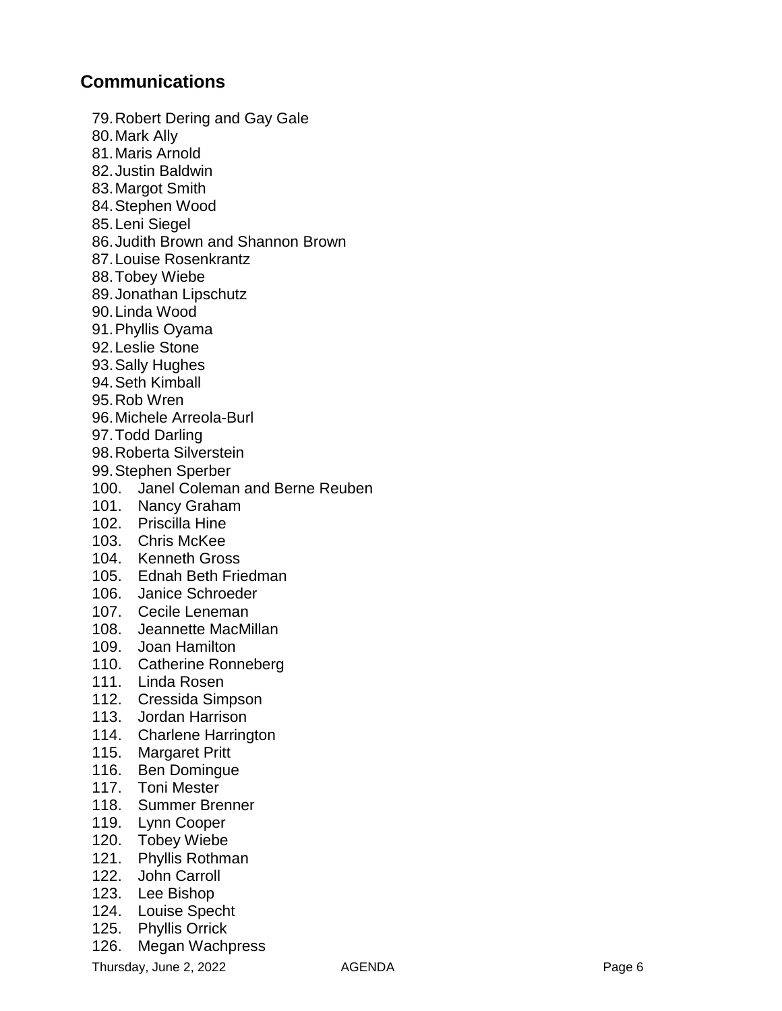## **Communications**

79.Robert Dering and Gay Gale 80.Mark Ally 81.Maris Arnold 82.Justin Baldwin 83.Margot Smith 84.Stephen Wood 85.Leni Siegel 86.Judith Brown and Shannon Brown 87.Louise Rosenkrantz 88.Tobey Wiebe 89.Jonathan Lipschutz 90.Linda Wood 91.Phyllis Oyama 92.Leslie Stone 93.Sally Hughes 94.Seth Kimball 95.Rob Wren 96.Michele Arreola -Burl 97.Todd Darling 98.Roberta Silverstein 99.Stephen Sperber 100. Janel Coleman and Berne Reuben 101. Nancy Graham 102. Priscilla Hine 103. Chris McKee 104. Kenneth Gross 105. Ednah Beth Friedman 106. Janice Schroeder 107. Cecile Leneman 108. Jeannette MacMillan 109. Joan Hamilton 110. Catherine Ronneberg 111. Linda Rosen 112. Cressida Simpson 113. Jordan Harrison 114. Charlene Harrington 115. Margaret Pritt 116. Ben Domingue 117. Toni Mester 118. Summer Brenner 119. Lynn Cooper 120. Tobey Wiebe 121. Phyllis Rothman 122. John Carroll 123. Lee Bishop 124. Louise Specht 125. Phyllis Orrick

126. Megan Wachpress